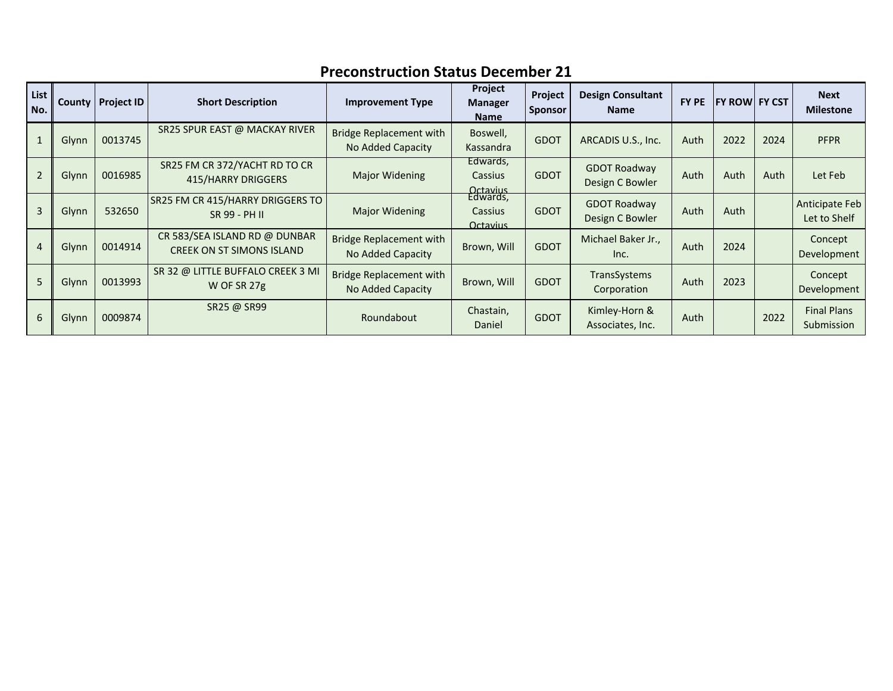| List<br>No. |       | County   Project ID | <b>Short Description</b>                                          | <b>Improvement Type</b>                             | Project<br><b>Manager</b><br><b>Name</b>                  | Project<br><b>Sponsor</b> | <b>Design Consultant</b><br><b>Name</b> | FY PE | <b>FY ROW FY CST</b> |      | <b>Next</b><br><b>Milestone</b>  |
|-------------|-------|---------------------|-------------------------------------------------------------------|-----------------------------------------------------|-----------------------------------------------------------|---------------------------|-----------------------------------------|-------|----------------------|------|----------------------------------|
|             | Glynn | 0013745             | SR25 SPUR EAST @ MACKAY RIVER                                     | <b>Bridge Replacement with</b><br>No Added Capacity | Boswell,<br>Kassandra                                     | <b>GDOT</b>               | ARCADIS U.S., Inc.                      | Auth  | 2022                 | 2024 | <b>PFPR</b>                      |
|             | Glynn | 0016985             | SR25 FM CR 372/YACHT RD TO CR<br>415/HARRY DRIGGERS               | Major Widening                                      | Edwards,<br><b>Cassius</b>                                | <b>GDOT</b>               | <b>GDOT Roadway</b><br>Design C Bowler  | Auth  | Auth                 | Auth | Let Feb                          |
| 3           | Glynn | 532650              | <b>SR25 FM CR 415/HARRY DRIGGERS TO</b><br>SR 99 - PH II          | <b>Major Widening</b>                               | Octavius<br>Edwards,<br><b>Cassius</b><br><b>Octavius</b> | <b>GDOT</b>               | <b>GDOT Roadway</b><br>Design C Bowler  | Auth  | Auth                 |      | Anticipate Feb<br>Let to Shelf   |
| 4           | Glynn | 0014914             | CR 583/SEA ISLAND RD @ DUNBAR<br><b>CREEK ON ST SIMONS ISLAND</b> | <b>Bridge Replacement with</b><br>No Added Capacity | Brown, Will                                               | <b>GDOT</b>               | Michael Baker Jr.,<br>Inc.              | Auth  | 2024                 |      | Concept<br>Development           |
| 5           | Glynn | 0013993             | SR 32 @ LITTLE BUFFALO CREEK 3 MI<br>W OF SR 27g                  | <b>Bridge Replacement with</b><br>No Added Capacity | Brown, Will                                               | <b>GDOT</b>               | TransSystems<br>Corporation             | Auth  | 2023                 |      | Concept<br>Development           |
| 6           | Glynn | 0009874             | SR25 @ SR99                                                       | Roundabout                                          | Chastain,<br>Daniel                                       | <b>GDOT</b>               | Kimley-Horn &<br>Associates, Inc.       | Auth  |                      | 2022 | <b>Final Plans</b><br>Submission |

## **Preconstruction Status December 21**